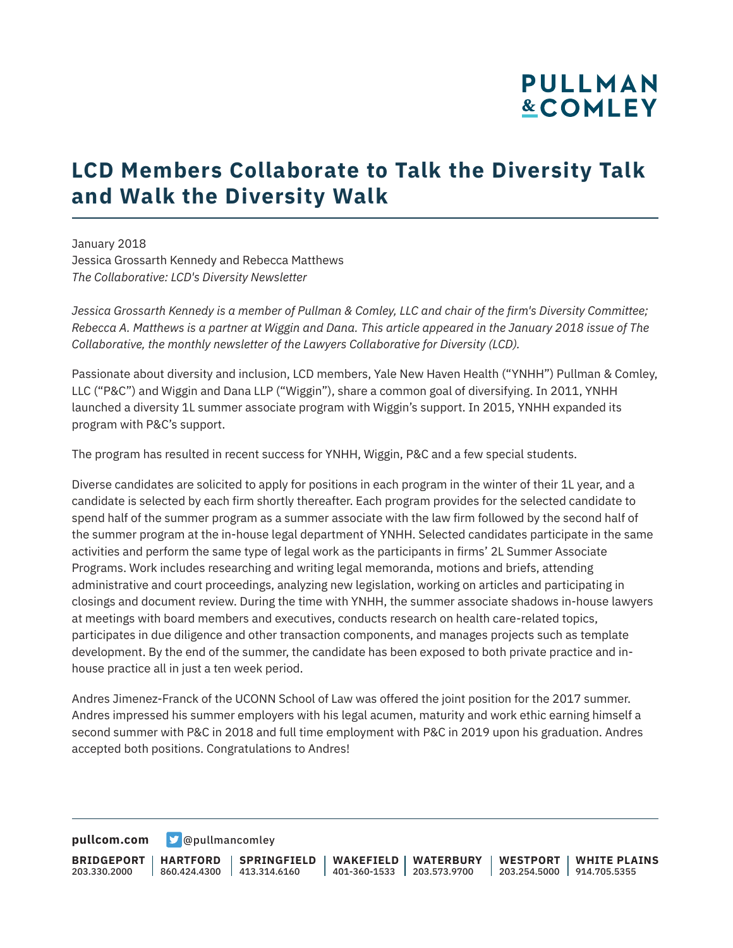# **PULLMAN &COMLEY**

### **LCD Members Collaborate to Talk the Diversity Talk and Walk the Diversity Walk**

January 2018 Jessica Grossarth Kennedy and Rebecca Matthews *The Collaborative: LCD's Diversity Newsletter*

*Jessica Grossarth Kennedy is a member of Pullman & Comley, LLC and chair of the firm's Diversity Committee; Rebecca A. Matthews is a partner at Wiggin and Dana. This article appeared in the January 2018 issue of The Collaborative, the monthly newsletter of the Lawyers Collaborative for Diversity (LCD).*

Passionate about diversity and inclusion, LCD members, Yale New Haven Health ("YNHH") Pullman & Comley, LLC ("P&C") and Wiggin and Dana LLP ("Wiggin"), share a common goal of diversifying. In 2011, YNHH launched a diversity 1L summer associate program with Wiggin's support. In 2015, YNHH expanded its program with P&C's support.

The program has resulted in recent success for YNHH, Wiggin, P&C and a few special students.

Diverse candidates are solicited to apply for positions in each program in the winter of their 1L year, and a candidate is selected by each firm shortly thereafter. Each program provides for the selected candidate to spend half of the summer program as a summer associate with the law firm followed by the second half of the summer program at the in-house legal department of YNHH. Selected candidates participate in the same activities and perform the same type of legal work as the participants in firms' 2L Summer Associate Programs. Work includes researching and writing legal memoranda, motions and briefs, attending administrative and court proceedings, analyzing new legislation, working on articles and participating in closings and document review. During the time with YNHH, the summer associate shadows in-house lawyers at meetings with board members and executives, conducts research on health care-related topics, participates in due diligence and other transaction components, and manages projects such as template development. By the end of the summer, the candidate has been exposed to both private practice and inhouse practice all in just a ten week period.

Andres Jimenez-Franck of the UCONN School of Law was offered the joint position for the 2017 summer. Andres impressed his summer employers with his legal acumen, maturity and work ethic earning himself a second summer with P&C in 2018 and full time employment with P&C in 2019 upon his graduation. Andres accepted both positions. Congratulations to Andres!

**[pullcom.com](https://www.pullcom.com) g** [@pullmancomley](https://twitter.com/PullmanComley)

**BRIDGEPORT** 203.330.2000 **HARTFORD** 860.424.4300 413.314.6160 **SPRINGFIELD WAKEFIELD WATERBURY** 401-360-1533 203.573.9700 **WESTPORT WHITE PLAINS** 203.254.5000 914.705.5355